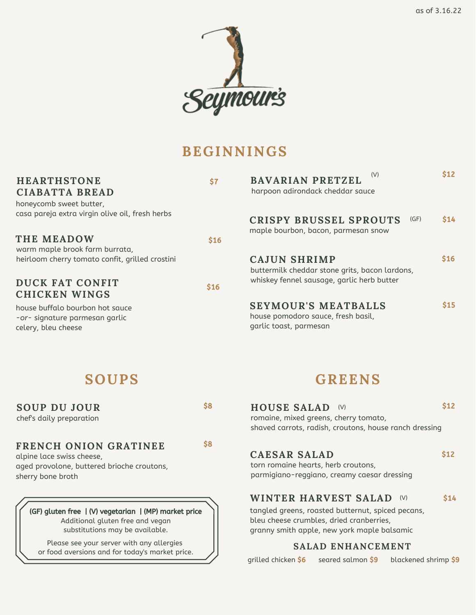

# **BEGINNINGS**

| <b>HEARTHSTONE</b><br><b>CIABATTA BREAD</b><br>honeycomb sweet butter,                   | \$7  | (V)<br><b>BAVARIAN PRETZEL</b><br>harpoon adirondack cheddar sauce                         | \$12 |
|------------------------------------------------------------------------------------------|------|--------------------------------------------------------------------------------------------|------|
| casa pareja extra virgin olive oil, fresh herbs                                          |      | <b>CRISPY BRUSSEL SPROUTS</b><br>(GF)<br>maple bourbon, bacon, parmesan snow               | \$14 |
| THE MEADOW<br>warm maple brook farm burrata,                                             | \$16 |                                                                                            |      |
| heirloom cherry tomato confit, grilled crostini                                          |      | <b>CAJUN SHRIMP</b><br>buttermilk cheddar stone grits, bacon lardons,                      | \$16 |
| <b>DUCK FAT CONFIT</b><br><b>CHICKEN WINGS</b>                                           | \$16 | whiskey fennel sausage, garlic herb butter                                                 |      |
| house buffalo bourbon hot sauce<br>-or- signature parmesan garlic<br>celery, bleu cheese |      | <b>SEYMOUR'S MEATBALLS</b><br>house pomodoro sauce, fresh basil,<br>garlic toast, parmesan | \$15 |
|                                                                                          |      | GREENS                                                                                     |      |

| <b>SOUP DU JOUR</b>      |  |
|--------------------------|--|
| chef's daily preparation |  |

\$8

## **FRENCH ONION GRATINEE**

\$8

alpine lace swiss cheese, aged provolone, buttered brioche croutons, sherry bone broth

(GF) gluten free | (V) vegetarian | (MP) market price Additional gluten free and vegan substitutions may be available.

Please see your server with any allergies or food aversions and for today's market price.

# **GREENS**

| <b>HOUSE SALAD</b>                                     | \$12 |
|--------------------------------------------------------|------|
| romaine, mixed greens, cherry tomato,                  |      |
| shaved carrots, radish, croutons, house ranch dressing |      |

## **CAESAR SALAD**

\$12

torn romaine hearts, herb croutons, parmigiano-reggiano, creamy caesar dressing

#### **WINTER HARVEST SALAD** (V) \$14

tangled greens, roasted butternut, spiced pecans, bleu cheese crumbles, dried cranberries, granny smith apple, new york maple balsamic

### **SALAD ENHANCEMENT**

grilled chicken \$6 seared salmon \$9 blackened shrimp \$9